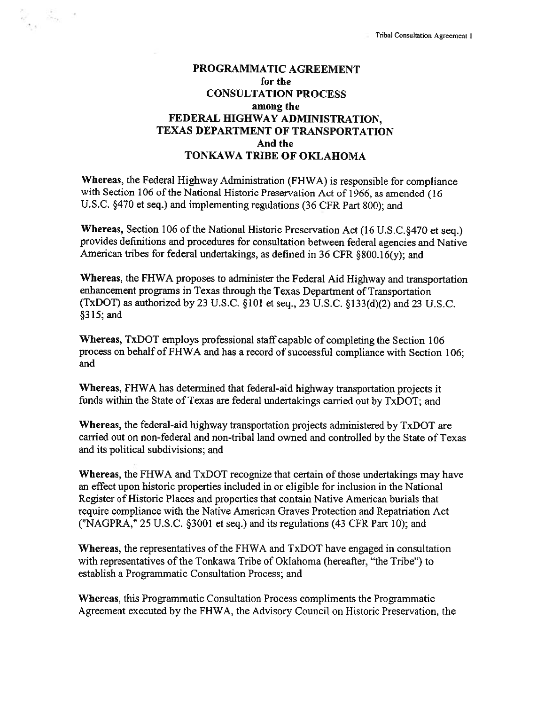# PROGRAMMATIC AGREEMENT for the CONSULTATION PROCESS among the FEDERAL HIGHWAY ADMINISTRATION, TEXAS DEPARTMENT OF TRANSPORTATION And the TONKAWA TRIBE OF OKLAHOMA

 $\mathcal{L}_{\mathcal{A}}$  ,  $\mathcal{A}$ 

 $\sigma_{\rm{c}}$  ,

Whereas, the Federal Highway Administration (FHWA) is responsible for compliance with Section <sup>106</sup> of the National Historic Preservation Act of 1966, as amended (16 U.S.C. §470 et seq.) and implementing regulations (36 CFR Part 800); and

Whereas, Section 106 of the National Historic Preservation Act (16 U.S.C.§470 et seq.) provides definitions and procedures for consultation between federal agencies and Native American tribes for federal undertakings, as defined in <sup>36</sup> CFR §800.16(y); and

Whereas, the FHWA proposes to administer the Federal Aid Highway and transportation enhancement programs in Texas through the Texas Department of Transportation (TxDOT) as authorized by 23 U.S.C. §101 et seq., 23 U.S.C. §133(d)(2) and 23 U.S.C. §315; and

Whereas, TxDOT employs professional staff capable of completing the Section 106 process on behalf of FHWA and has <sup>a</sup> record of successful compliance with Section 106; and

Whereas, FHWA has determined that federal-aid highway transportation projects it funds within the State of Texas are federal undertakings carried out by TxDOT; and

Whereas, the federal-aid highway transportation projects administered by TxDOT are carried out on non-federal and non-tribal land owned and controlled by the State of Texas and its political subdivisions; and

Whereas, the FHWA and TxDOT recognize that certain of those undertakings may have an effect upon historic properties included in or eligible for inclusion in the National Register of Historic Places and properties that contain Native American burials that require compliance with the Native American Graves Protection and Repatriation Act ("NAGPRA," 25 U.S.C. §3001 et seq.) and its regulations (43 CFR Part 10); and

Whereas, the representatives of the FHWA and TxDOT have engaged in consultation with representatives of the Tonkawa Tribe of Oklahoma (hereafter, "the Tribe") to establish <sup>a</sup> Programmatic Consultation Process; and

Whereas, this Programmatic Consultation Process compliments the Programmatic Agreement executed by the FHWA, the Advisory Council on Historic Preservation, the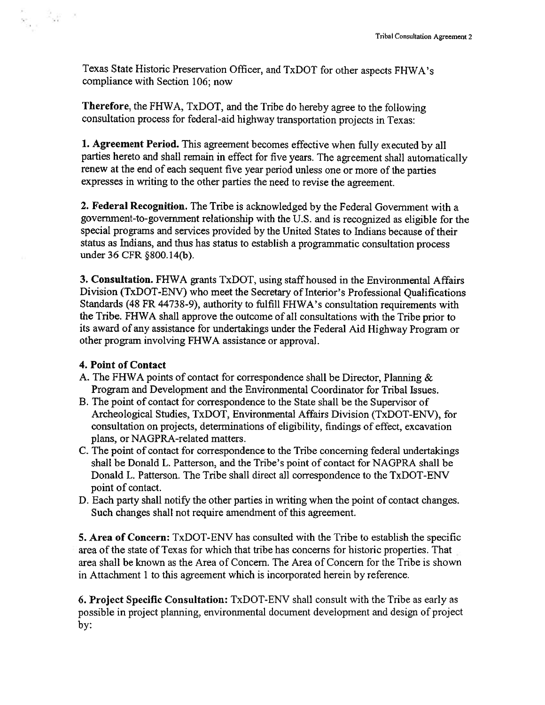Texas State Historic Preservation Officer, and TxDOT for other aspects FHWA's compliance with Section 106; now

Therefore, the FHWA, TxDOT, and the Tribe do hereby agree to the following consultation process for federal-aid highway transportation projects in Texas:

1. Agreement Period. This agreement becomes effective when fully executed by all parties hereto and shall remain in effect for five years. The agreement shall automatically renew at the end of each sequent five year period unless one or more of the parties expresses in writing to the other parties the need to revise the agreement.

2. Federal Recognition. The Tribe is acknowledged by the Federal Govemment with <sup>a</sup> government-to-government relationship with the U.S. and is recognized as eligible for the special programs and services provided by the United States to Indians because of their status as Indians, and thus has status to establish <sup>a</sup> programmatic consultation process under 36 CFR §800.14(b).

3. Consultation. FHWA grants TxDOT, using staff housed in the Environmental Affairs Division (TxDOT-ENV) who meet the Secretary of Interior's Professional Qualifications Standards (48 FR 44738-9), authority to fulfill FHWA's consultation requirements with the Tribe. FHWA shall approve the outcome of all consultations with the Tribe prior to its award of any assistance for undertakings under the Federal Aid Highway Program or other program involving FHWA assistance or approval.

### 4. Point of Contact

- 2<sub>00</sub> - 2

 $\alpha$  .

- A. The FHWA points of contact for correspondence shall be Director, Planning & Program and Development and the Environmental Coordinator for Tribal Issues.
- B. The point of contact for correspondence to the State shall be the Supervisor of Archeological Studies, TxDOT, Environmental Affairs Division (TxDOT-ENV), for consultation on projects, determinations of eligibility, findings of effect, excavation plans, or NAGPRA-related matters.
- C. The point of contact for correspondence to the Tribe concerning federal undertakings shall be Donald L. Patterson, and the Tribe's point of contact for NAGPRA shall be Donald L. Patterson. The Tribe shall direct all correspondence to the TxDOT-ENV point of contact.
- D. Each party shall notify the other parties in writing when the point of contact changes. Such changes shall not require amendment of this agreement.

5. Area of Concern: TxDOT-ENV has consulted with the Tribe to establish the specific area of the state of Texas for which that tribe has concerns for historic properties. That area shall be known as the Area of Concern. The Area of Concem for the Tribe is shown in Attachment 1 to this agreement which is incorporated herein by reference.

6. Project Specific Consultation: TxDOT-ENV shall consult with the Tribe as early as possible in project planning, environmental document development and design of project by: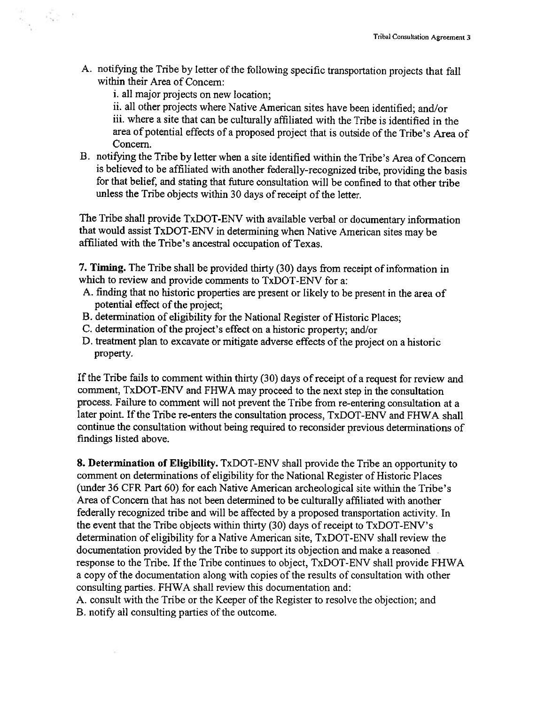A. notifying the Tribe by letter of the following specific transportation projects that fall within their Area of Concern:

i. all major projects on new location;

 $\frac{1}{2}$  ,  $\frac{1}{2}$  ,  $\frac{1}{2}$  ,  $\frac{1}{2}$ 

ii. all other projects where Native American sites have been identified; and/or iii. where <sup>a</sup> site that can be culturally affiliated with the Tribe is identified in the area of potential effects of a proposed project that is outside of the Tribe's Area of Concern.

B. notifying the Tribe by letter when <sup>a</sup> site identified within the Tribe's Area of Concern is believed to be affiliated with another federally-recognized tribe, providing the basis for that belief; and stating that future consultation will be confined to that other tribe unless the Tribe objects within 30 days of receipt of the letter.

The Tribe shall provide TxDOT-ENV with available verbal or documentary information that would assist TxDOT-ENV in determining when Native American sites may be affiliated with the Tribe's ancestral occupation of Texas.

7. Timing. The Tribe shall be provided thirty (30) days from receipt of information in which to review and provide comments to TxDOT-ENV for a:

- A. finding that no historic properties are present or likely to be present in the area of potential effect of the project;
- B. determination of eligibility for the National Register of Historic Places;
- C. determination of the project's effect on a historic property; and/or
- D. treatment plan to excavate or mitigate adverse effects of the project on <sup>a</sup> historic property.

If the Tribe fails to comment within thirty (30) days of receipt of a request for review and comment, TxDOT-ENV and FHWA may proceed to the next step in the consultation process. Failure to comment will not prevent the Tribe from re-entering consultation at <sup>a</sup> later point. If the Tribe re-enters the consultation process, TxDOT-ENV and FHWA shall continue the consultation without being required to reconsider previous determinations of findings listed above.

8. Determination of Eligibility. TxDOT-ENV shall provide the Tribe an opportunity to comment on determinations of eligibility for the National Register of Historic Places (under 36 CFR Part 60) for each Native American archeological site within the Tribe's Area of Concern that has not been determined to be culturally affiliated with another federally recognized tribe and will be affected by <sup>a</sup> proposed transportation activity. In the event that the Tribe objects within thirty (30) days of receipt to TxDOT-ENV's determination of eligibility for <sup>a</sup> Native American site, TxDOT-ENV shall review the documentation provided by the Tribe to support its objection and make <sup>a</sup> reasoned response to the Tribe. If the Tribe continues to object, TxDOT-ENV shall provide FHWA <sup>a</sup> copy of the documentation along with copies of the results of consultation with other consulting parties. FHWA shall review this documentation and:

A. consult with the Tribe or the Keeper of the Register to resolve the objection; and B. notify all consulting parties of the outcome.

÷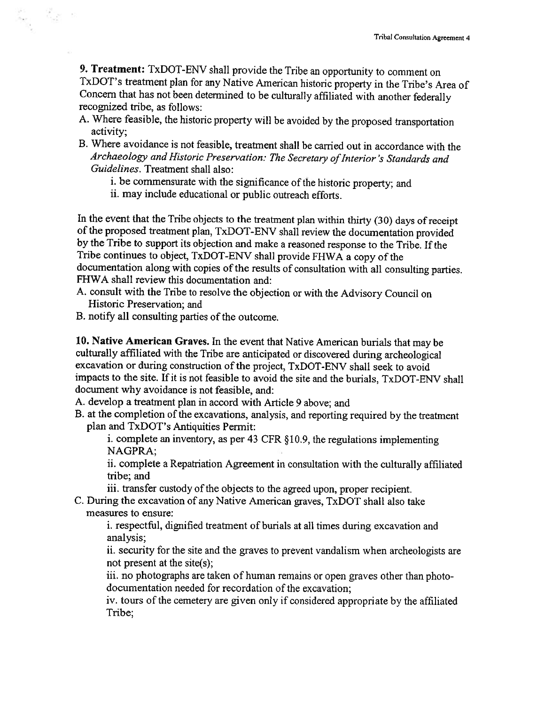9. Treatment: TxDOT-ENV shall provide the Tribe an opportunity to comment on TxDOT's treatment plan for any Native American historic property in the Tribe's Area of Concern that has not been determined to be culturally aff

- A. Where feasible, the historic property will be avoided by the proposed transportation activity;
- B. Where avoidance is not feasible, treatment shall be carried out in accordance with the Archaeology and Historic Preservation: The Secretary of Interior's Standards and Guidelines. Treatment shall also:
	- i. be commensurate with the significance of the historic property; and
	- ii. may include educational or public outreach efforts.

In the event that the Tribe objects to the treatment plan within thirty (30) days of receipt of the proposed treatment plan, TxDOT-ENV shall review the documentation provided by the Tribe to support its objection and make <sup>a</sup> reasoned response to the Tribe. If the Tribe continues to object, TxDOT-ENV shall provide FHWA <sup>a</sup> copy of the documentation along with copies of the results of consultation with all consulting parties. FHWA shall review this documentation and:

- A. consult with the Tribe to resolve the objection or with the Advisory Council on Historic Preservation; and
- B. notify all consulting parties of the outcome.

ನೋ ಕ

 $\sim$ 

10. Native American Graves. In the event that Native American burials that may be culturally affiliated with the Tribe are anticipated or discovered during archeological excavation or during construction of the project, TxDOT-ENV shall seek to avoid impacts to the site. If it is not feasible to avoid the site and the burials, TxDOT-ENV shall document why avoidance is not feasible, and:

A. develop <sup>a</sup> treatment plan in accord with Article 9 above; and

B. at the completion of the excavations, analysis, and reporting required by the treatment plan and TxDOT's Antiquities Permit:

i. complete an inventory, as per 43 CFR §10.9, the regulations implementing NAGPRA;

ii. complete <sup>a</sup> Repatriation Agreement in consultation with the culturally affiliated tribe; and

iii. transfer custody of the objects to the agreed upon, proper recipient.

C. During the excavation of any Native American graves, TxDOT shall also take measures to ensure:

i. respectful, dignified treatment of burials at all times during excavation and analysis;

ii. security for the site and the graves to prevent vandalism when archeologists are not present at the site(s);

iii. no photographs are taken of human remains or open graves other than photodocumentation needed for recordation of the excavation;

iv. tours of the cemetery are given only if considered appropriate by the affiliated Tribe;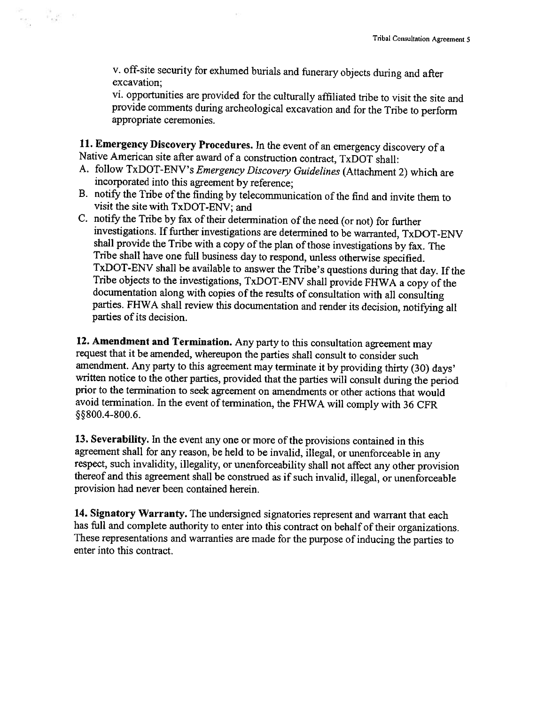v. off-site security for exhumed burials and funerary objects during and after excavation;

vi. opportunities are provided for the culturally affiliated tribe to visit the site and provide comments during archeological excavation and for the Tribe to perform appropriate ceremonies.

11. Emergency Discovery Procedures. In the event of an emergency discovery of a Native American site after award of a construction contract, TxDOT shall

e a<br>S

- A. follow TxDOT-ENV's Emergency Discovery Guidelines (Attachment 2) which are incorporated into this agreement by reference;
- B. notify the Tribe of the finding by telecommunication of the find and invite them to visit the site with TxDOT-ENV; and
- C. notify the Tribe by fax of their determination of the need (or not) for further investigations. If further investigations are determined to be warranted, TxDOT-ENV shall provide the Tribe with a copy of the plan of those investigations by fax. The Tribe shall have one full business day to respond, unless otherwise specified.<br>TxDOT-ENV shall be available to answer the Tribe's questions during that day. If the<br>Tribe objects to the investigations, TxDOT-ENV shall provi

12. Amendment and Termination. Any party to this consultation agreement may request that it be amended, whereupon the parties shall consult to consider such amendment. Any party to this agreement may terminate it by provid written notice to the other parties, provided that the parties will consult during the period<br>prior to the termination to seek agreement on amendments or other actions that would avoid termination. In the event of termination, the FHWA will comply with <sup>36</sup> CFR §~8O0.4-8OO.6.

13. Severability. In the event any one or more of the provisions contained in this agreement shall for any reason, be held to be invalid, illegal, or unenforceable in any respect, such invalidity, illegality, or unenforceability shall not affect any other provision thereof and this agreement shall be construed as if such invalid, illegal, or unenforceable provision had never been contained herein.

14. Signatory Warranty. The undersigned signatories represent and warrant that each has full and complete authority to enter into this contract on behalf of their organizations. These representations and warranties are made for the purpose of inducing the parties to enter into this contract.